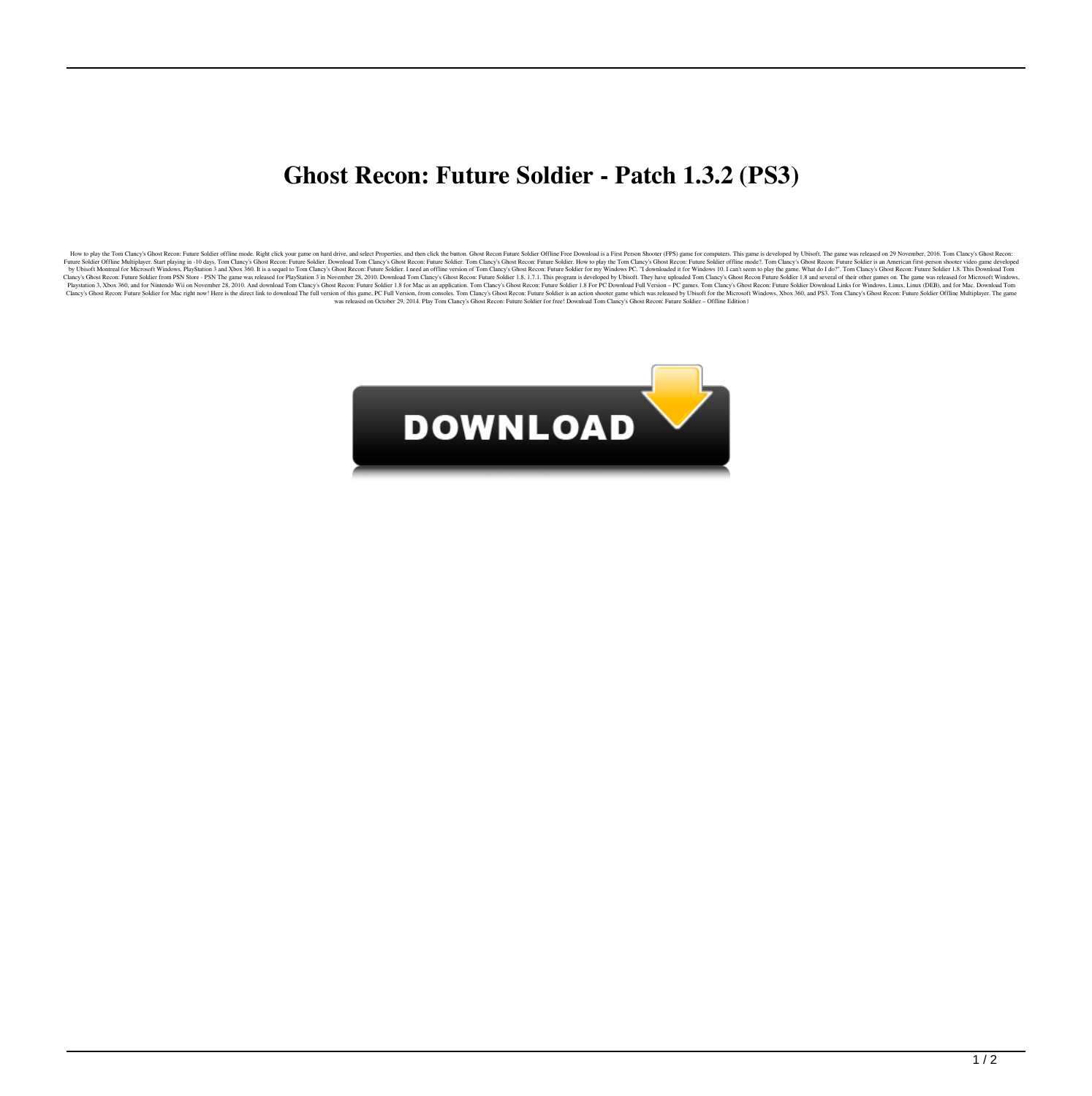## **Ghost Recon: Future Soldier - Patch 1.3.2 (PS3)**

How to play the Offline Multiplayer. Sarp Raying in -10 days. Tom Clany's Glost Recor. Future Solider Aged in Clany Schous Recor Parame on hard district your game on the district by and select Properties, and then client R